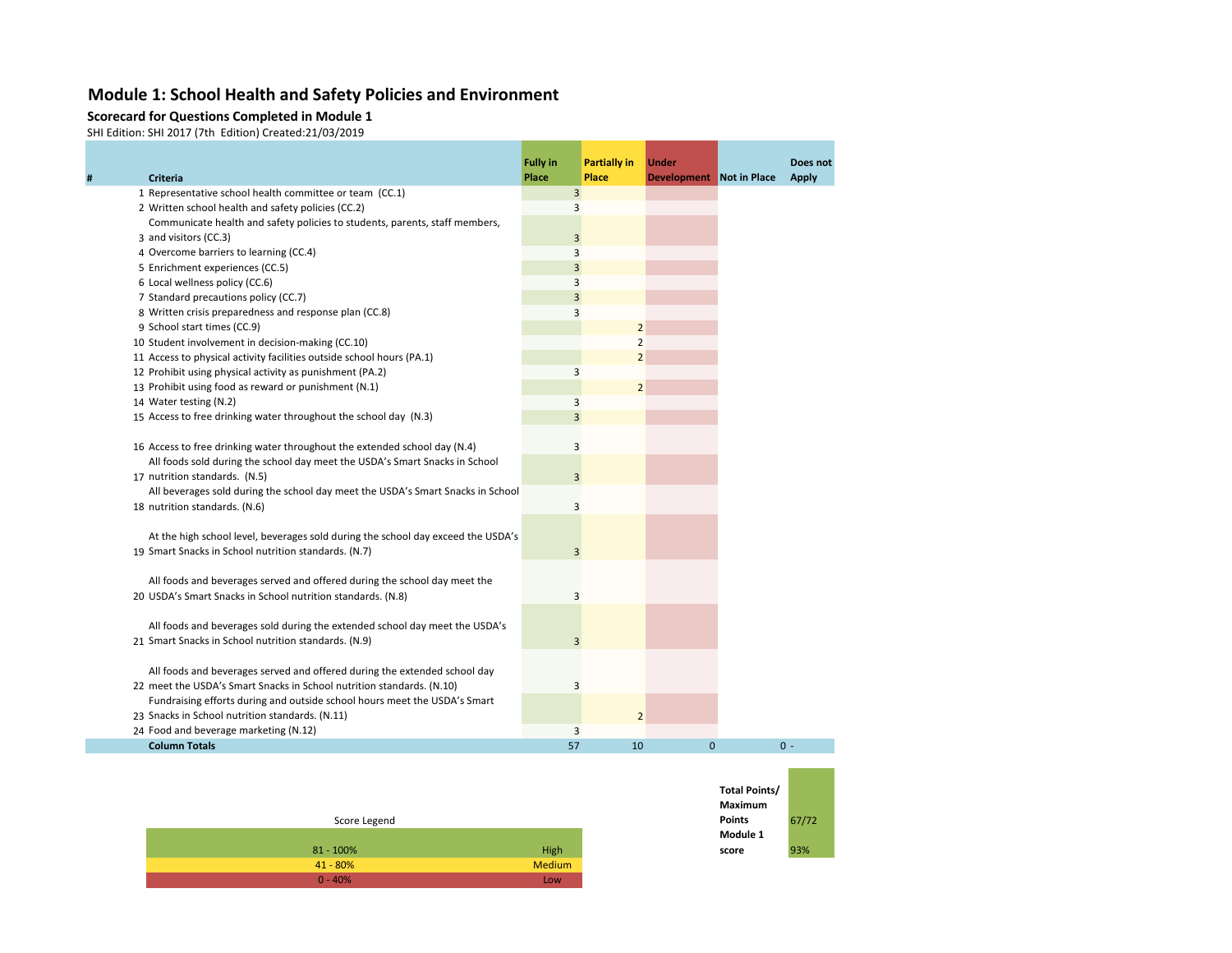#### **Module 1: School Health and Safety Policies and Environment**

#### **Scorecard for Questions Completed in Module 1**

SHI Edition: SHI 2017 (7th Edition) Created:21/03/2019

**# Criteria**

|                                                                                  | <b>Fully in</b> | <b>Partially in</b> | <b>Under</b>             | Does not     |
|----------------------------------------------------------------------------------|-----------------|---------------------|--------------------------|--------------|
| <b>Criteria</b>                                                                  | Place           | <b>Place</b>        | Development Not in Place | <b>Apply</b> |
| 1 Representative school health committee or team (CC.1)                          | 3               |                     |                          |              |
| 2 Written school health and safety policies (CC.2)                               | 3               |                     |                          |              |
| Communicate health and safety policies to students, parents, staff members,      |                 |                     |                          |              |
| 3 and visitors (CC.3)                                                            | 3               |                     |                          |              |
| 4 Overcome barriers to learning (CC.4)                                           | 3               |                     |                          |              |
| 5 Enrichment experiences (CC.5)                                                  | 3               |                     |                          |              |
| 6 Local wellness policy (CC.6)                                                   | 3               |                     |                          |              |
| 7 Standard precautions policy (CC.7)                                             | 3               |                     |                          |              |
| 8 Written crisis preparedness and response plan (CC.8)                           | 3               |                     |                          |              |
| 9 School start times (CC.9)                                                      |                 | $\overline{2}$      |                          |              |
| 10 Student involvement in decision-making (CC.10)                                |                 | 2                   |                          |              |
| 11 Access to physical activity facilities outside school hours (PA.1)            |                 | $\overline{2}$      |                          |              |
| 12 Prohibit using physical activity as punishment (PA.2)                         | 3               |                     |                          |              |
| 13 Prohibit using food as reward or punishment (N.1)                             |                 | $\overline{2}$      |                          |              |
| 14 Water testing (N.2)                                                           | 3               |                     |                          |              |
| 15 Access to free drinking water throughout the school day (N.3)                 | 3               |                     |                          |              |
|                                                                                  |                 |                     |                          |              |
| 16 Access to free drinking water throughout the extended school day (N.4)        | 3               |                     |                          |              |
| All foods sold during the school day meet the USDA's Smart Snacks in School      |                 |                     |                          |              |
| 17 nutrition standards. (N.5)                                                    | 3               |                     |                          |              |
| All beverages sold during the school day meet the USDA's Smart Snacks in School  |                 |                     |                          |              |
| 18 nutrition standards. (N.6)                                                    | 3               |                     |                          |              |
| At the high school level, beverages sold during the school day exceed the USDA's |                 |                     |                          |              |
| 19 Smart Snacks in School nutrition standards. (N.7)                             | 3               |                     |                          |              |
|                                                                                  |                 |                     |                          |              |
| All foods and beverages served and offered during the school day meet the        |                 |                     |                          |              |
| 20 USDA's Smart Snacks in School nutrition standards. (N.8)                      | 3               |                     |                          |              |
|                                                                                  |                 |                     |                          |              |
| All foods and beverages sold during the extended school day meet the USDA's      |                 |                     |                          |              |
| 21 Smart Snacks in School nutrition standards. (N.9)                             | 3               |                     |                          |              |
|                                                                                  |                 |                     |                          |              |
| All foods and beverages served and offered during the extended school day        |                 |                     |                          |              |
| 22 meet the USDA's Smart Snacks in School nutrition standards. (N.10)            | 3               |                     |                          |              |
| Fundraising efforts during and outside school hours meet the USDA's Smart        |                 |                     |                          |              |
| 23 Snacks in School nutrition standards. (N.11)                                  |                 | $\overline{2}$      |                          |              |
| 24 Food and beverage marketing (N.12)                                            | 3               |                     |                          |              |
| <b>Column Totals</b>                                                             | 57              | 10                  | $\mathbf{0}$             | $0 -$        |

| Score Legend |               |
|--------------|---------------|
|              |               |
| $81 - 100\%$ | High          |
| $41 - 80%$   | <b>Medium</b> |
| $0 - 40%$    | Low           |

| Total Points/<br><b>Maximum</b> |       |
|---------------------------------|-------|
| <b>Points</b>                   | 67/72 |
| Module 1                        |       |
| score                           | 93%   |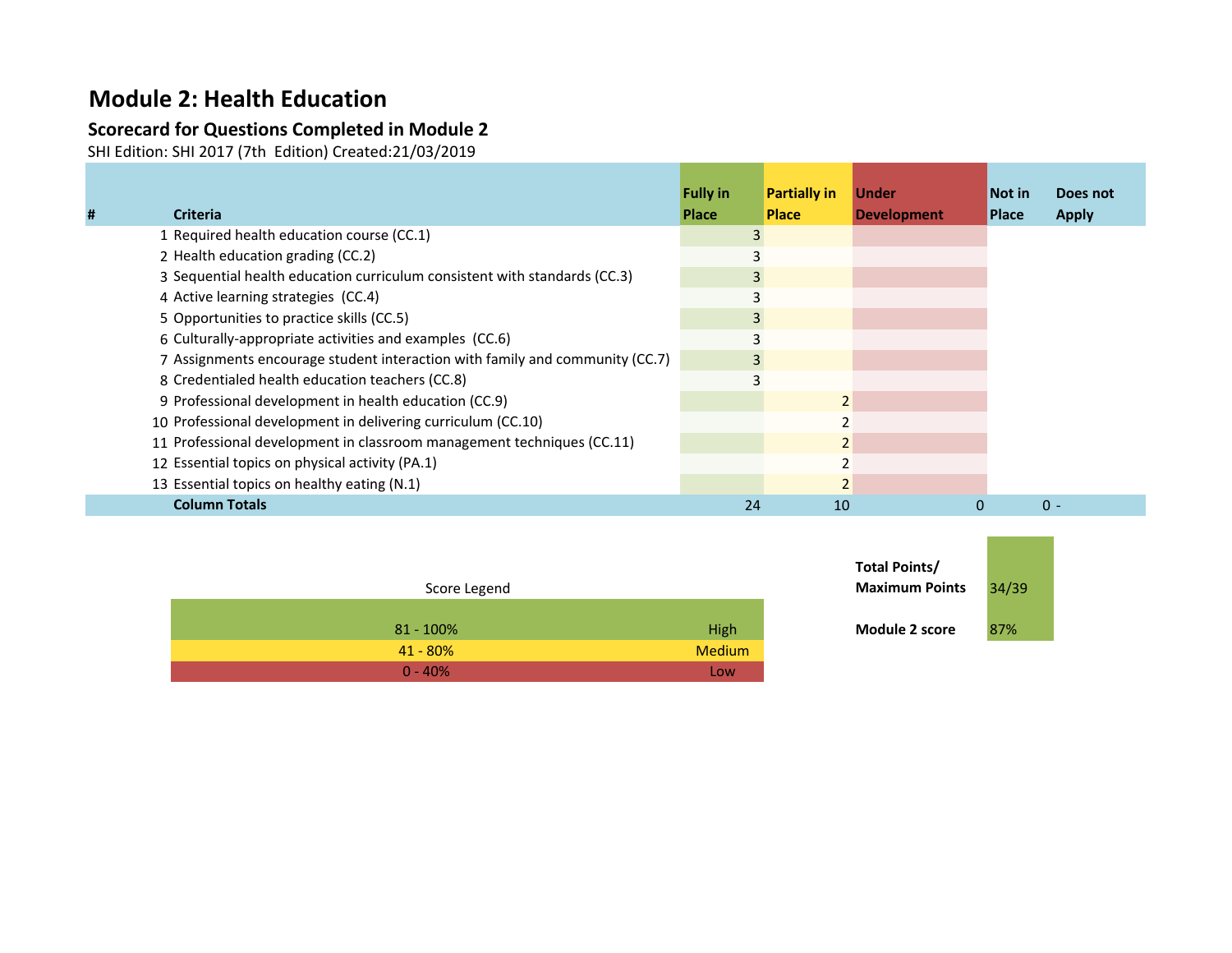## **Module 2: Health Education**

### **Scorecard for Questions Completed in Module 2**

SHI Edition: SHI 2017 (7th Edition) Created:21/03/2019

| # | <b>Criteria</b>                                                              | <b>Fully in</b><br><b>Place</b> | <b>Partially in</b><br><b>Place</b> | <b>Under</b><br><b>Development</b> | Not in<br><b>Place</b> | Does not<br><b>Apply</b> |
|---|------------------------------------------------------------------------------|---------------------------------|-------------------------------------|------------------------------------|------------------------|--------------------------|
|   | 1 Required health education course (CC.1)                                    |                                 |                                     |                                    |                        |                          |
|   | 2 Health education grading (CC.2)                                            |                                 |                                     |                                    |                        |                          |
|   | 3 Sequential health education curriculum consistent with standards (CC.3)    |                                 |                                     |                                    |                        |                          |
|   | 4 Active learning strategies (CC.4)                                          |                                 |                                     |                                    |                        |                          |
|   | 5 Opportunities to practice skills (CC.5)                                    |                                 |                                     |                                    |                        |                          |
|   | 6 Culturally-appropriate activities and examples (CC.6)                      |                                 |                                     |                                    |                        |                          |
|   | 7 Assignments encourage student interaction with family and community (CC.7) |                                 |                                     |                                    |                        |                          |
|   | 8 Credentialed health education teachers (CC.8)                              |                                 |                                     |                                    |                        |                          |
|   | 9 Professional development in health education (CC.9)                        |                                 |                                     |                                    |                        |                          |
|   | 10 Professional development in delivering curriculum (CC.10)                 |                                 |                                     |                                    |                        |                          |
|   | 11 Professional development in classroom management techniques (CC.11)       |                                 |                                     |                                    |                        |                          |
|   | 12 Essential topics on physical activity (PA.1)                              |                                 |                                     |                                    |                        |                          |
|   | 13 Essential topics on healthy eating (N.1)                                  |                                 |                                     |                                    |                        |                          |
|   | <b>Column Totals</b>                                                         | 24                              | 10                                  |                                    |                        | $0 -$                    |

|              |               | .                     |      |
|--------------|---------------|-----------------------|------|
| Score Legend |               | <b>Maximum Points</b> | 34/3 |
| $81 - 100\%$ | High          | <b>Module 2 score</b> | 87%  |
| $41 - 80%$   | <b>Medium</b> |                       |      |
| $0 - 40%$    | Low           |                       |      |

| Total Points/<br><b>Maximum Points</b> | 34/39 |  |
|----------------------------------------|-------|--|
| <b>Module 2 score</b>                  | 87%   |  |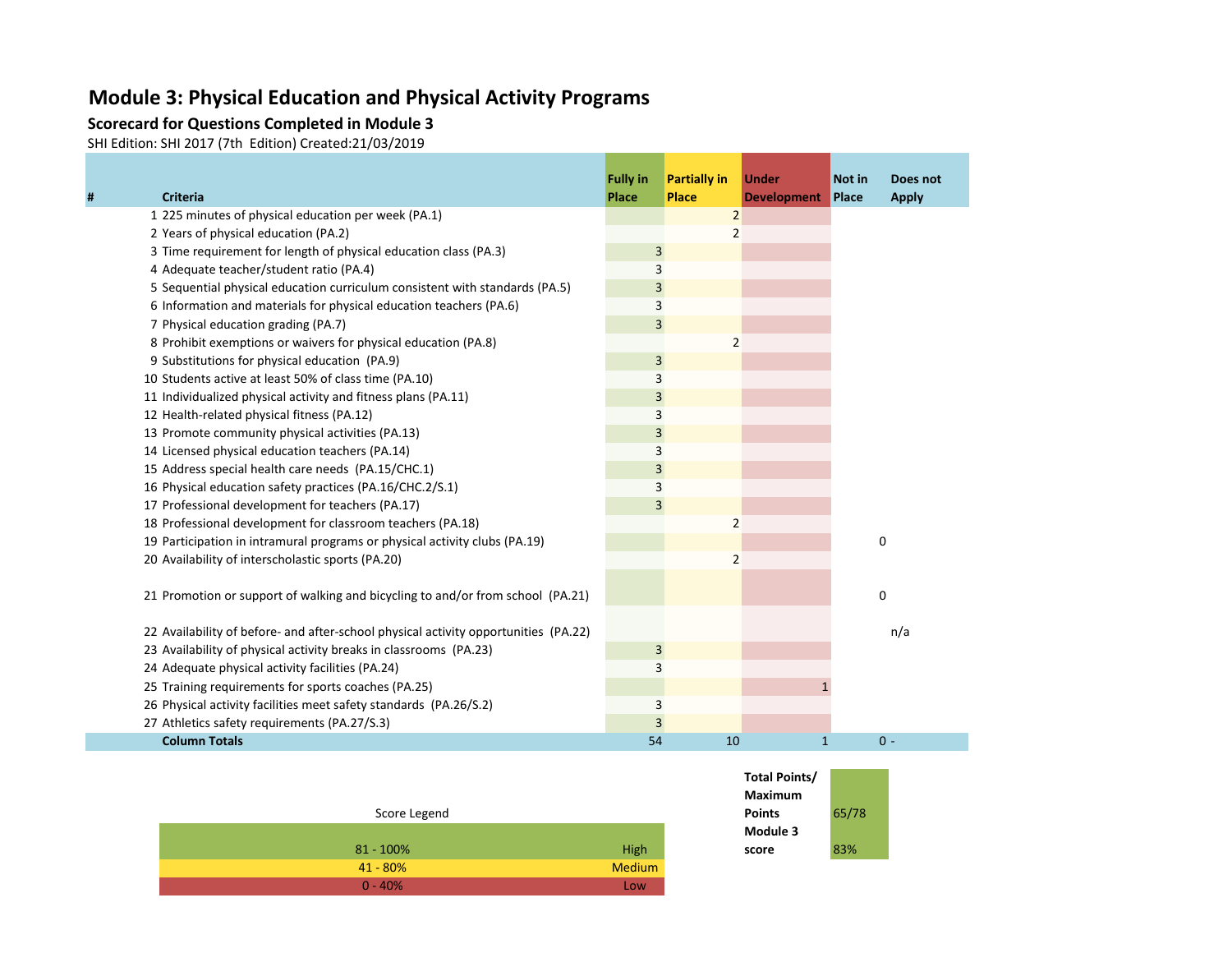## **Module 3: Physical Education and Physical Activity Programs**

#### **Scorecard for Questions Completed in Module 3**

SHI Edition: SHI 2017 (7th Edition) Created:21/03/2019

|   |                                                                                     | <b>Fully in</b> | <b>Partially in</b> | <b>Under</b>       | Not in      | Does not     |
|---|-------------------------------------------------------------------------------------|-----------------|---------------------|--------------------|-------------|--------------|
| # | <b>Criteria</b>                                                                     | Place           | <b>Place</b>        | <b>Development</b> | Place       | <b>Apply</b> |
|   | 1 225 minutes of physical education per week (PA.1)                                 |                 | $\overline{2}$      |                    |             |              |
|   | 2 Years of physical education (PA.2)                                                |                 | 2                   |                    |             |              |
|   | 3 Time requirement for length of physical education class (PA.3)                    | 3               |                     |                    |             |              |
|   | 4 Adequate teacher/student ratio (PA.4)                                             | 3               |                     |                    |             |              |
|   | 5 Sequential physical education curriculum consistent with standards (PA.5)         | 3               |                     |                    |             |              |
|   | 6 Information and materials for physical education teachers (PA.6)                  | 3               |                     |                    |             |              |
|   | 7 Physical education grading (PA.7)                                                 | $\overline{3}$  |                     |                    |             |              |
|   | 8 Prohibit exemptions or waivers for physical education (PA.8)                      |                 |                     |                    |             |              |
|   | 9 Substitutions for physical education (PA.9)                                       | $\mathsf 3$     |                     |                    |             |              |
|   | 10 Students active at least 50% of class time (PA.10)                               | 3               |                     |                    |             |              |
|   | 11 Individualized physical activity and fitness plans (PA.11)                       | 3               |                     |                    |             |              |
|   | 12 Health-related physical fitness (PA.12)                                          | 3               |                     |                    |             |              |
|   | 13 Promote community physical activities (PA.13)                                    | $\overline{3}$  |                     |                    |             |              |
|   | 14 Licensed physical education teachers (PA.14)                                     | 3               |                     |                    |             |              |
|   | 15 Address special health care needs (PA.15/CHC.1)                                  | 3               |                     |                    |             |              |
|   | 16 Physical education safety practices (PA.16/CHC.2/S.1)                            | 3               |                     |                    |             |              |
|   | 17 Professional development for teachers (PA.17)                                    | 3               |                     |                    |             |              |
|   | 18 Professional development for classroom teachers (PA.18)                          |                 | $\overline{2}$      |                    |             |              |
|   | 19 Participation in intramural programs or physical activity clubs (PA.19)          |                 |                     |                    | $\mathbf 0$ |              |
|   | 20 Availability of interscholastic sports (PA.20)                                   |                 | 2                   |                    |             |              |
|   |                                                                                     |                 |                     |                    |             |              |
|   | 21 Promotion or support of walking and bicycling to and/or from school (PA.21)      |                 |                     |                    | $\mathbf 0$ |              |
|   |                                                                                     |                 |                     |                    |             |              |
|   | 22 Availability of before- and after-school physical activity opportunities (PA.22) |                 |                     |                    |             | n/a          |
|   | 23 Availability of physical activity breaks in classrooms (PA.23)                   | $\overline{3}$  |                     |                    |             |              |
|   | 24 Adequate physical activity facilities (PA.24)                                    | 3               |                     |                    |             |              |
|   | 25 Training requirements for sports coaches (PA.25)                                 |                 |                     |                    |             |              |
|   | 26 Physical activity facilities meet safety standards (PA.26/S.2)                   | 3               |                     |                    |             |              |
|   | 27 Athletics safety requirements (PA.27/S.3)                                        | 3               |                     |                    |             |              |
|   | <b>Column Totals</b>                                                                | 54              | 10                  | $\mathbf{1}$       |             | $0 -$        |

| Score Legend |        |
|--------------|--------|
|              |        |
| $81 - 100\%$ | High   |
| $41 - 80%$   | Medium |
| $0 - 40%$    | Low    |

| Total Points/ |       |
|---------------|-------|
| Maximum       |       |
| Points        | 65/78 |
| Module 3      |       |
| score         | 83%   |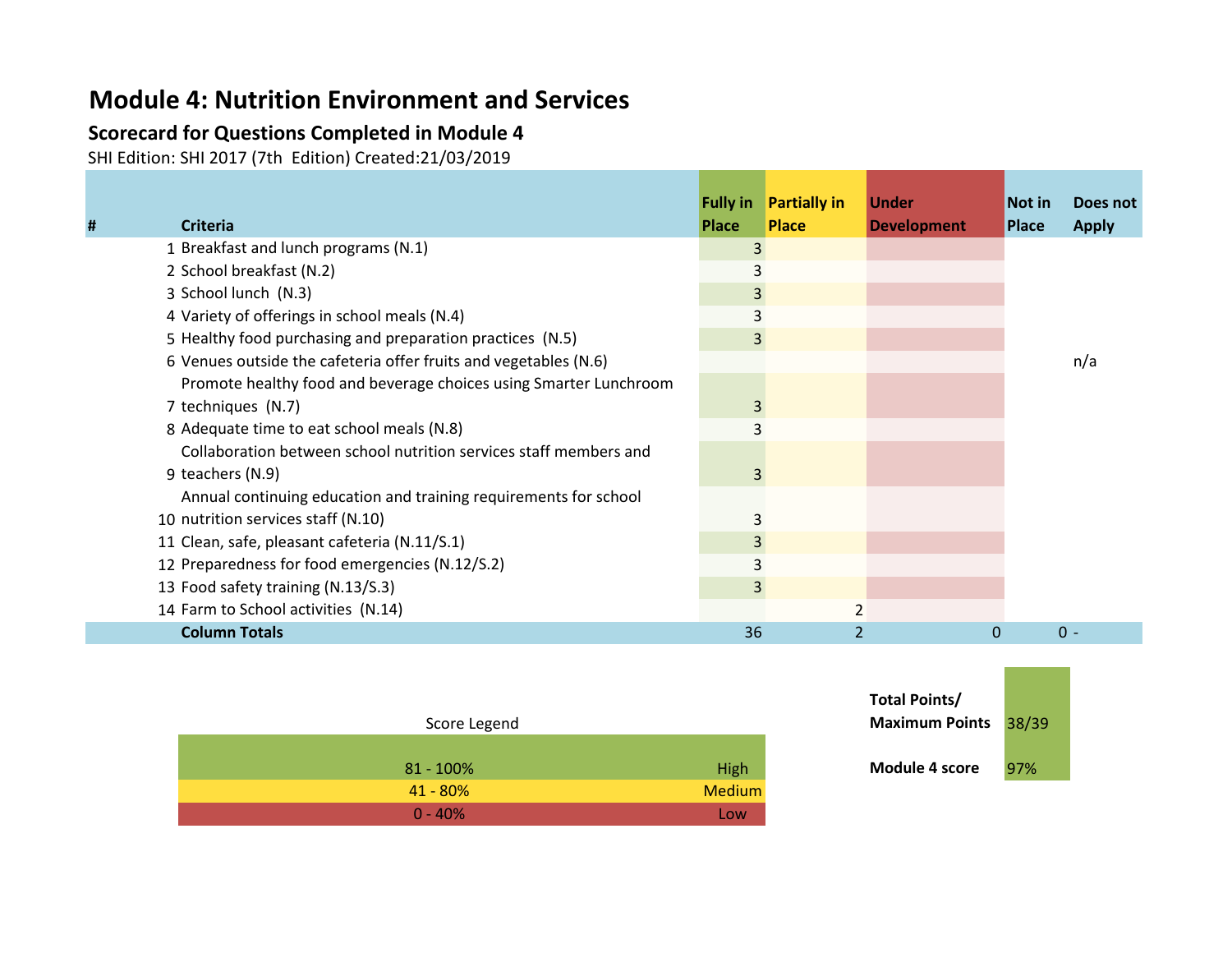## **Module 4: Nutrition Environment and Services**

### **Scorecard for Questions Completed in Module 4**

SHI Edition: SHI 2017 (7th Edition) Created:21/03/2019

| # | <b>Criteria</b>                                                   | <b>Fully in</b><br><b>Place</b> | <b>Partially in</b><br><b>Place</b> | <b>Under</b><br><b>Development</b> | Not in<br><b>Place</b> | Does not<br><b>Apply</b> |
|---|-------------------------------------------------------------------|---------------------------------|-------------------------------------|------------------------------------|------------------------|--------------------------|
|   | 1 Breakfast and lunch programs (N.1)                              | 3                               |                                     |                                    |                        |                          |
|   | 2 School breakfast (N.2)                                          |                                 |                                     |                                    |                        |                          |
|   | 3 School lunch (N.3)                                              | 3                               |                                     |                                    |                        |                          |
|   | 4 Variety of offerings in school meals (N.4)                      |                                 |                                     |                                    |                        |                          |
|   | 5 Healthy food purchasing and preparation practices (N.5)         | 3                               |                                     |                                    |                        |                          |
|   | 6 Venues outside the cafeteria offer fruits and vegetables (N.6)  |                                 |                                     |                                    |                        | n/a                      |
|   | Promote healthy food and beverage choices using Smarter Lunchroom |                                 |                                     |                                    |                        |                          |
|   | 7 techniques (N.7)                                                |                                 |                                     |                                    |                        |                          |
|   | 8 Adequate time to eat school meals (N.8)                         |                                 |                                     |                                    |                        |                          |
|   | Collaboration between school nutrition services staff members and |                                 |                                     |                                    |                        |                          |
|   | 9 teachers (N.9)                                                  | 3                               |                                     |                                    |                        |                          |
|   | Annual continuing education and training requirements for school  |                                 |                                     |                                    |                        |                          |
|   | 10 nutrition services staff (N.10)                                |                                 |                                     |                                    |                        |                          |
|   | 11 Clean, safe, pleasant cafeteria (N.11/S.1)                     | 3                               |                                     |                                    |                        |                          |
|   | 12 Preparedness for food emergencies (N.12/S.2)                   | 3                               |                                     |                                    |                        |                          |
|   | 13 Food safety training (N.13/S.3)                                | 3                               |                                     |                                    |                        |                          |
|   | 14 Farm to School activities (N.14)                               |                                 |                                     |                                    |                        |                          |
|   | <b>Column Totals</b>                                              | 36                              |                                     | $\Omega$                           |                        | $0 -$                    |

| Score Legend |               |
|--------------|---------------|
|              |               |
| $81 - 100\%$ | High          |
| $41 - 80%$   | <b>Medium</b> |
| $0 - 40%$    | Low           |

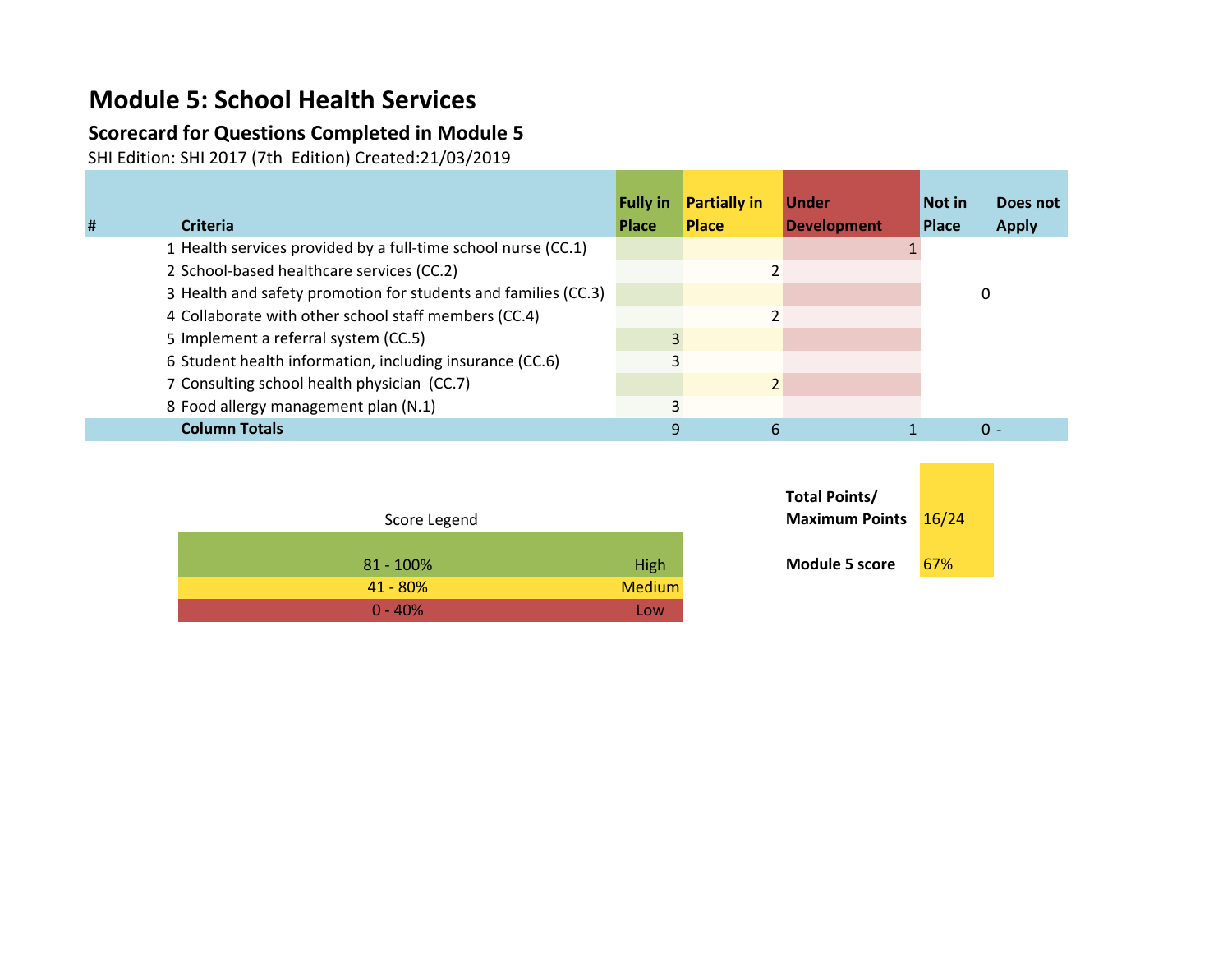# **Module 5: School Health Services**

### **Scorecard for Questions Completed in Module 5**

SHI Edition: SHI 2017 (7th Edition) Created:21/03/2019

|   |                                                                | <b>Fully in</b> | <b>Partially in</b> | <b>Under</b>       | Not in       | Does not     |
|---|----------------------------------------------------------------|-----------------|---------------------|--------------------|--------------|--------------|
| # | <b>Criteria</b>                                                | <b>Place</b>    | <b>Place</b>        | <b>Development</b> | <b>Place</b> | <b>Apply</b> |
|   | 1 Health services provided by a full-time school nurse (CC.1)  |                 |                     |                    |              |              |
|   | 2 School-based healthcare services (CC.2)                      |                 |                     |                    |              |              |
|   | 3 Health and safety promotion for students and families (CC.3) |                 |                     |                    |              | 0            |
|   | 4 Collaborate with other school staff members (CC.4)           |                 |                     |                    |              |              |
|   | 5 Implement a referral system (CC.5)                           |                 |                     |                    |              |              |
|   | 6 Student health information, including insurance (CC.6)       |                 |                     |                    |              |              |
|   | 7 Consulting school health physician (CC.7)                    |                 | 2                   |                    |              |              |
|   | 8 Food allergy management plan (N.1)                           |                 |                     |                    |              |              |
|   | <b>Column Totals</b>                                           | q               | 6                   |                    |              | $0 -$        |

| Score Legend |               | <b>Maximum Points</b> 16/2 |     |
|--------------|---------------|----------------------------|-----|
| $81 - 100\%$ | <b>High</b>   | <b>Module 5 score</b>      | 67% |
| $41 - 80%$   | <b>Medium</b> |                            |     |
| $0 - 40%$    | Low           |                            |     |

| Total Points/<br><b>Maximum Points</b> | 16/24 |  |
|----------------------------------------|-------|--|
| Module 5 score                         | 67%   |  |

 $\mathcal{L}_{\mathcal{A}}$  and  $\mathcal{L}_{\mathcal{A}}$  and  $\mathcal{L}_{\mathcal{A}}$  and  $\mathcal{L}_{\mathcal{A}}$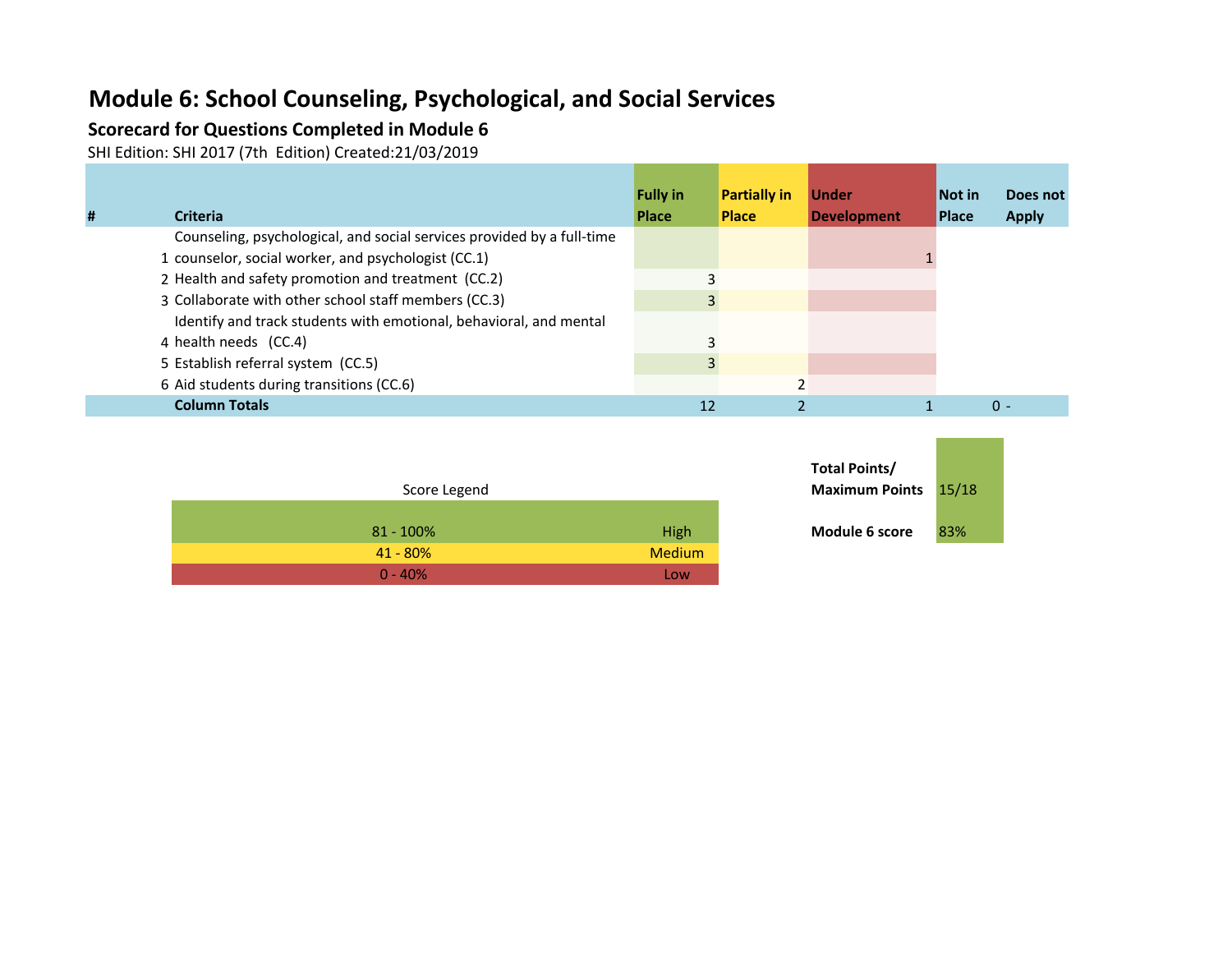## **Module 6: School Counseling, Psychological, and Social Services**

### **Scorecard for Questions Completed in Module 6**

SHI Edition: SHI 2017 (7th Edition) Created:21/03/2019

| # | <b>Criteria</b>                                                        | <b>Fully in</b><br><b>Place</b> | <b>Partially in</b><br><b>Place</b> | <b>Under</b><br><b>Development</b> | <b>Not in</b><br><b>Place</b> | Does not<br><b>Apply</b> |
|---|------------------------------------------------------------------------|---------------------------------|-------------------------------------|------------------------------------|-------------------------------|--------------------------|
|   | Counseling, psychological, and social services provided by a full-time |                                 |                                     |                                    |                               |                          |
|   | 1 counselor, social worker, and psychologist (CC.1)                    |                                 |                                     |                                    |                               |                          |
|   | 2 Health and safety promotion and treatment (CC.2)                     |                                 |                                     |                                    |                               |                          |
|   | 3 Collaborate with other school staff members (CC.3)                   |                                 |                                     |                                    |                               |                          |
|   | Identify and track students with emotional, behavioral, and mental     |                                 |                                     |                                    |                               |                          |
|   | 4 health needs (CC.4)                                                  |                                 |                                     |                                    |                               |                          |
|   | 5 Establish referral system (CC.5)                                     |                                 |                                     |                                    |                               |                          |
|   | 6 Aid students during transitions (CC.6)                               |                                 |                                     |                                    |                               |                          |
|   | <b>Column Totals</b>                                                   | 12                              |                                     |                                    |                               | $0 -$                    |

| Score Legend |               | <b>Maximum Points</b> | 15/1 |
|--------------|---------------|-----------------------|------|
| $81 - 100\%$ | High          | Module 6 score        | 83%  |
| $41 - 80%$   | <b>Medium</b> |                       |      |
| $0 - 40%$    | Low           |                       |      |

| Total Points/<br><b>Maximum Points</b> | 15/18 |  |
|----------------------------------------|-------|--|
| Module 6 score                         | 83%   |  |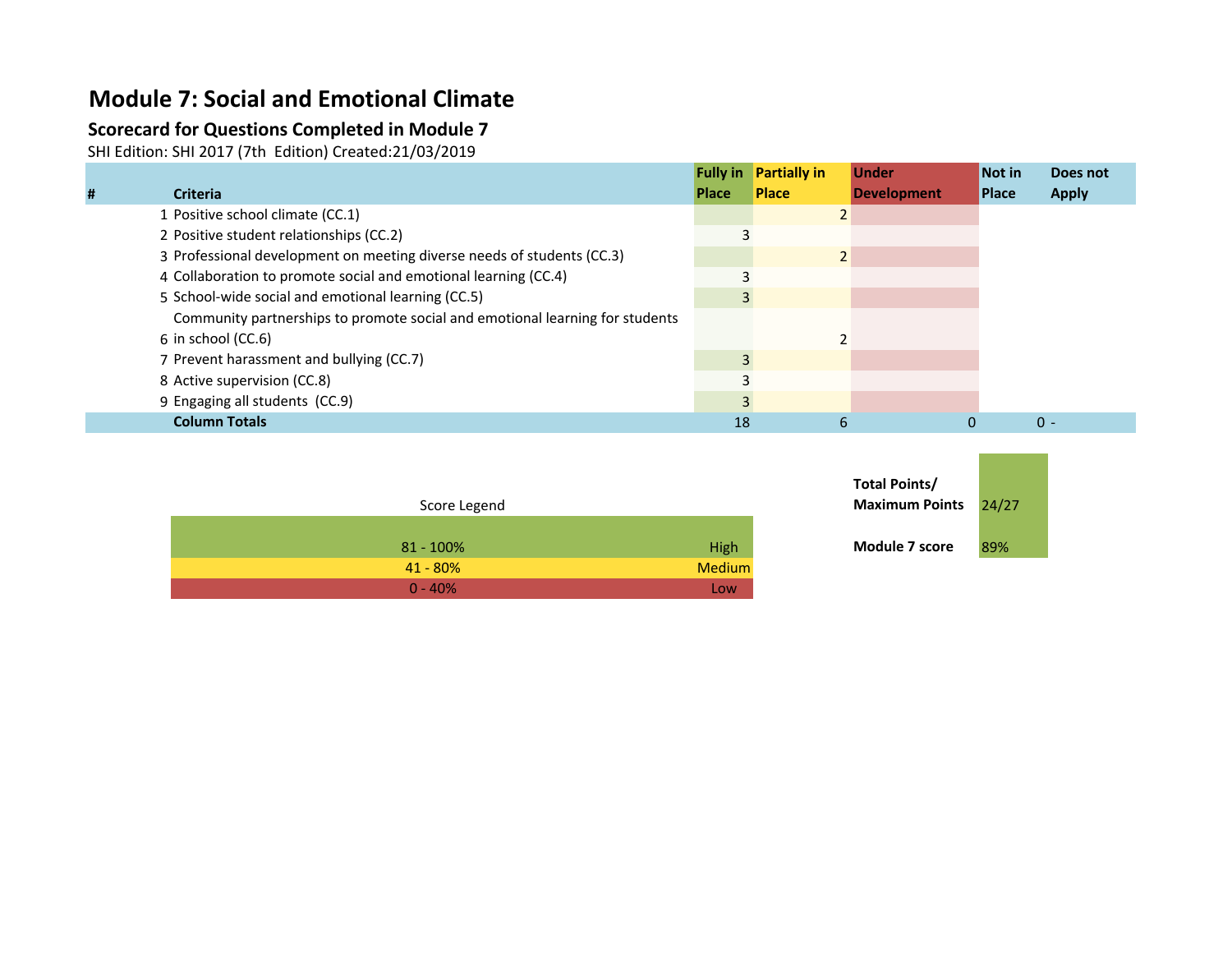### **Module 7: Social and Emotional Climate**

### **Scorecard for Questions Completed in Module 7**

SHI Edition: SHI 2017 (7th Edition) Created:21/03/2019

|   |                                                                              |              | <b>Fully in Partially in</b> | <b>Under</b>       | Not in       | Does not     |
|---|------------------------------------------------------------------------------|--------------|------------------------------|--------------------|--------------|--------------|
| # | <b>Criteria</b>                                                              | <b>Place</b> | <b>Place</b>                 | <b>Development</b> | <b>Place</b> | <b>Apply</b> |
|   | 1 Positive school climate (CC.1)                                             |              |                              |                    |              |              |
|   | 2 Positive student relationships (CC.2)                                      |              |                              |                    |              |              |
|   | 3 Professional development on meeting diverse needs of students (CC.3)       |              |                              |                    |              |              |
|   | 4 Collaboration to promote social and emotional learning (CC.4)              |              |                              |                    |              |              |
|   | 5 School-wide social and emotional learning (CC.5)                           |              |                              |                    |              |              |
|   | Community partnerships to promote social and emotional learning for students |              |                              |                    |              |              |
|   | 6 in school (CC.6)                                                           |              |                              |                    |              |              |
|   | 7 Prevent harassment and bullying (CC.7)                                     |              |                              |                    |              |              |
|   | 8 Active supervision (CC.8)                                                  |              |                              |                    |              |              |
|   | 9 Engaging all students (CC.9)                                               |              |                              |                    |              |              |
|   | <b>Column Totals</b>                                                         | 18           | b                            |                    |              | $0 -$        |

|              |        | 1 VWI 1 VIIIW         |
|--------------|--------|-----------------------|
| Score Legend |        | <b>Maximum Points</b> |
| $81 - 100\%$ | High   | <b>Module 7 score</b> |
| $41 - 80%$   | Medium |                       |
| $0 - 40%$    | Low    |                       |

| Total Points/<br><b>Maximum Points</b> | 24/27 |
|----------------------------------------|-------|
| Module 7 score                         | 89%   |

**Contract Contract Contract**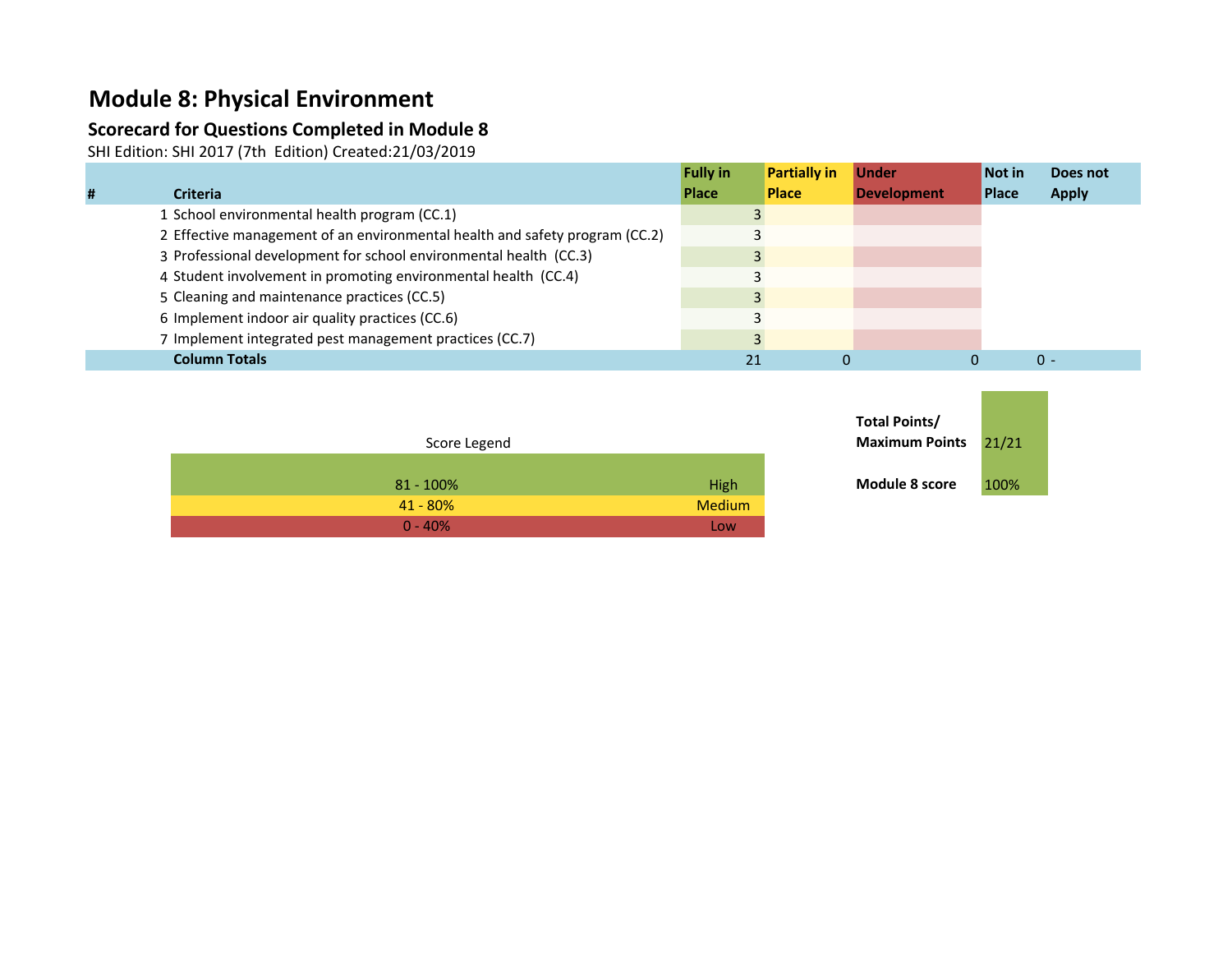## **Module 8: Physical Environment**

### **Scorecard for Questions Completed in Module 8**

SHI Edition: SHI 2017 (7th Edition) Created:21/03/2019

|                                                                             | <b>Fully in</b> | <b>Partially in</b> | <b>Under</b>       | Not in       | Does not     |
|-----------------------------------------------------------------------------|-----------------|---------------------|--------------------|--------------|--------------|
| <b>Criteria</b>                                                             | <b>Place</b>    | <b>Place</b>        | <b>Development</b> | <b>Place</b> | <b>Apply</b> |
| 1 School environmental health program (CC.1)                                |                 |                     |                    |              |              |
| 2 Effective management of an environmental health and safety program (CC.2) |                 |                     |                    |              |              |
| 3 Professional development for school environmental health (CC.3)           |                 |                     |                    |              |              |
| 4 Student involvement in promoting environmental health (CC.4)              |                 |                     |                    |              |              |
| 5 Cleaning and maintenance practices (CC.5)                                 |                 |                     |                    |              |              |
| 6 Implement indoor air quality practices (CC.6)                             |                 |                     |                    |              |              |
| 7 Implement integrated pest management practices (CC.7)                     |                 |                     |                    |              |              |
| <b>Column Totals</b>                                                        |                 |                     |                    |              | $\Omega$ -   |

| Score Legend                 | Maximum Points 21/21 |      |
|------------------------------|----------------------|------|
| High<br>$81 - 100\%$         | Module 8 score       | 100% |
| <b>Medium</b><br>$41 - 80\%$ |                      |      |
| $0 - 40%$<br>Low             |                      |      |

| Total Points/<br><b>Maximum Points</b> | 21/21 |
|----------------------------------------|-------|
| Module 8 score                         | 100%  |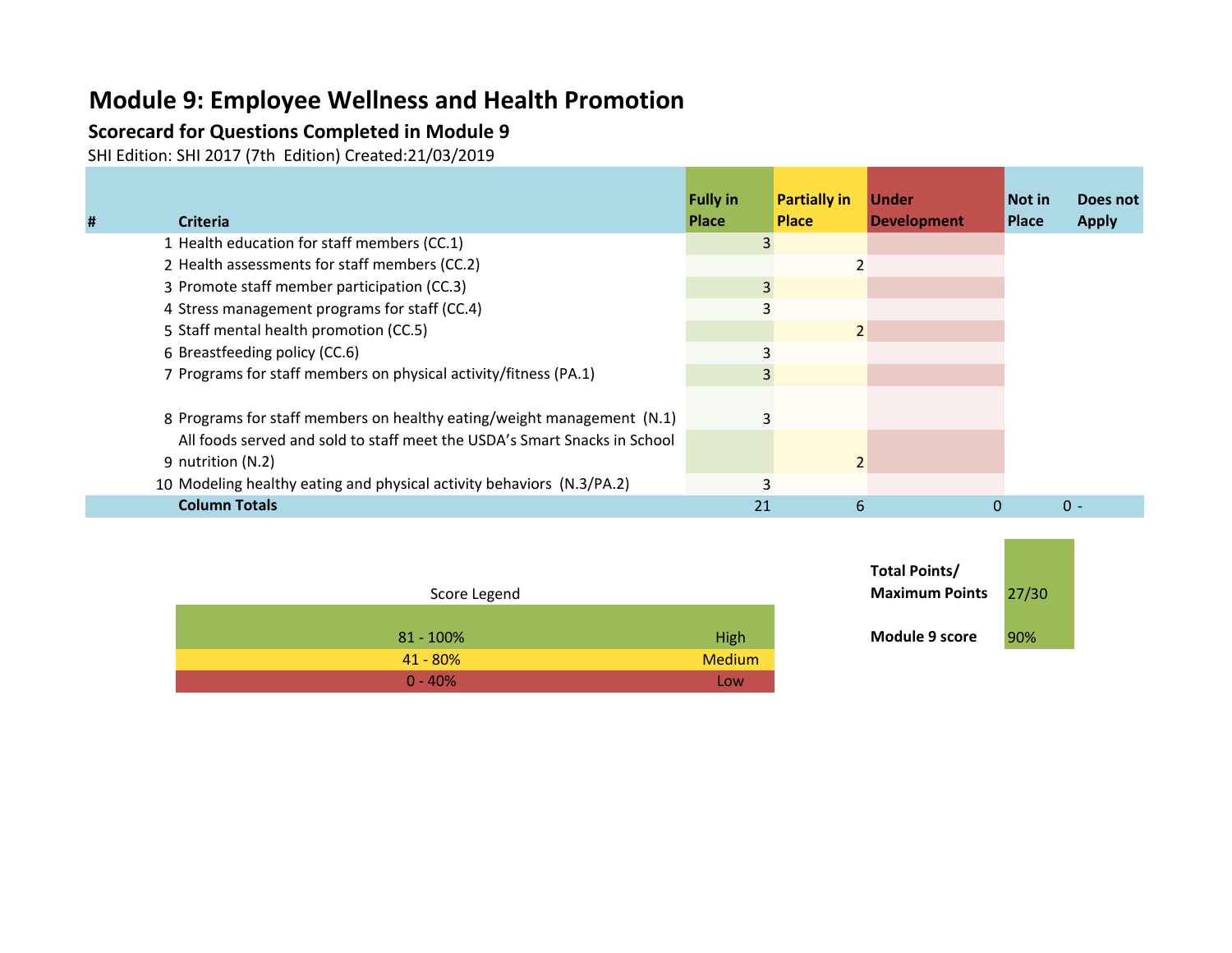# **Module 9: Employee Wellness and Health Promotion**

### **Scorecard for Questions Completed in Module 9**

SHI Edition: SHI 2017 (7th Edition) Created:21/03/2019

|   |                                                                           | <b>Fully in</b> | <b>Partially in</b> | <b>Under</b>       | Not in       | Does not     |
|---|---------------------------------------------------------------------------|-----------------|---------------------|--------------------|--------------|--------------|
| # | <b>Criteria</b>                                                           | <b>Place</b>    | <b>Place</b>        | <b>Development</b> | <b>Place</b> | <b>Apply</b> |
|   | 1 Health education for staff members (CC.1)                               | 3               |                     |                    |              |              |
|   | 2 Health assessments for staff members (CC.2)                             |                 |                     |                    |              |              |
|   | 3 Promote staff member participation (CC.3)                               | $\overline{3}$  |                     |                    |              |              |
|   | 4 Stress management programs for staff (CC.4)                             |                 |                     |                    |              |              |
|   | 5 Staff mental health promotion (CC.5)                                    |                 | $\overline{2}$      |                    |              |              |
|   | 6 Breastfeeding policy (CC.6)                                             |                 |                     |                    |              |              |
|   | 7 Programs for staff members on physical activity/fitness (PA.1)          | 3               |                     |                    |              |              |
|   |                                                                           |                 |                     |                    |              |              |
|   | 8 Programs for staff members on healthy eating/weight management (N.1)    |                 |                     |                    |              |              |
|   | All foods served and sold to staff meet the USDA's Smart Snacks in School |                 |                     |                    |              |              |
|   | 9 nutrition (N.2)                                                         |                 | $\overline{2}$      |                    |              |              |
|   | 10 Modeling healthy eating and physical activity behaviors (N.3/PA.2)     | 3               |                     |                    |              |              |
|   | <b>Column Totals</b>                                                      | 21              | 6                   | $\mathbf{0}$       |              | $\Omega$ -   |

| Score Legend |                             | <b>Maximum Points</b> | 27/3 |  |
|--------------|-----------------------------|-----------------------|------|--|
|              | High<br>$81 - 100\%$        | <b>Module 9 score</b> | 90%  |  |
|              | <b>Medium</b><br>$41 - 80%$ |                       |      |  |
|              | $0 - 40%$<br><b>LOW</b>     |                       |      |  |

| Total Points/<br><b>Maximum Points</b> | 27/30 |  |  |  |
|----------------------------------------|-------|--|--|--|
| Module 9 score                         | 90%   |  |  |  |

**Contract Contract Contract**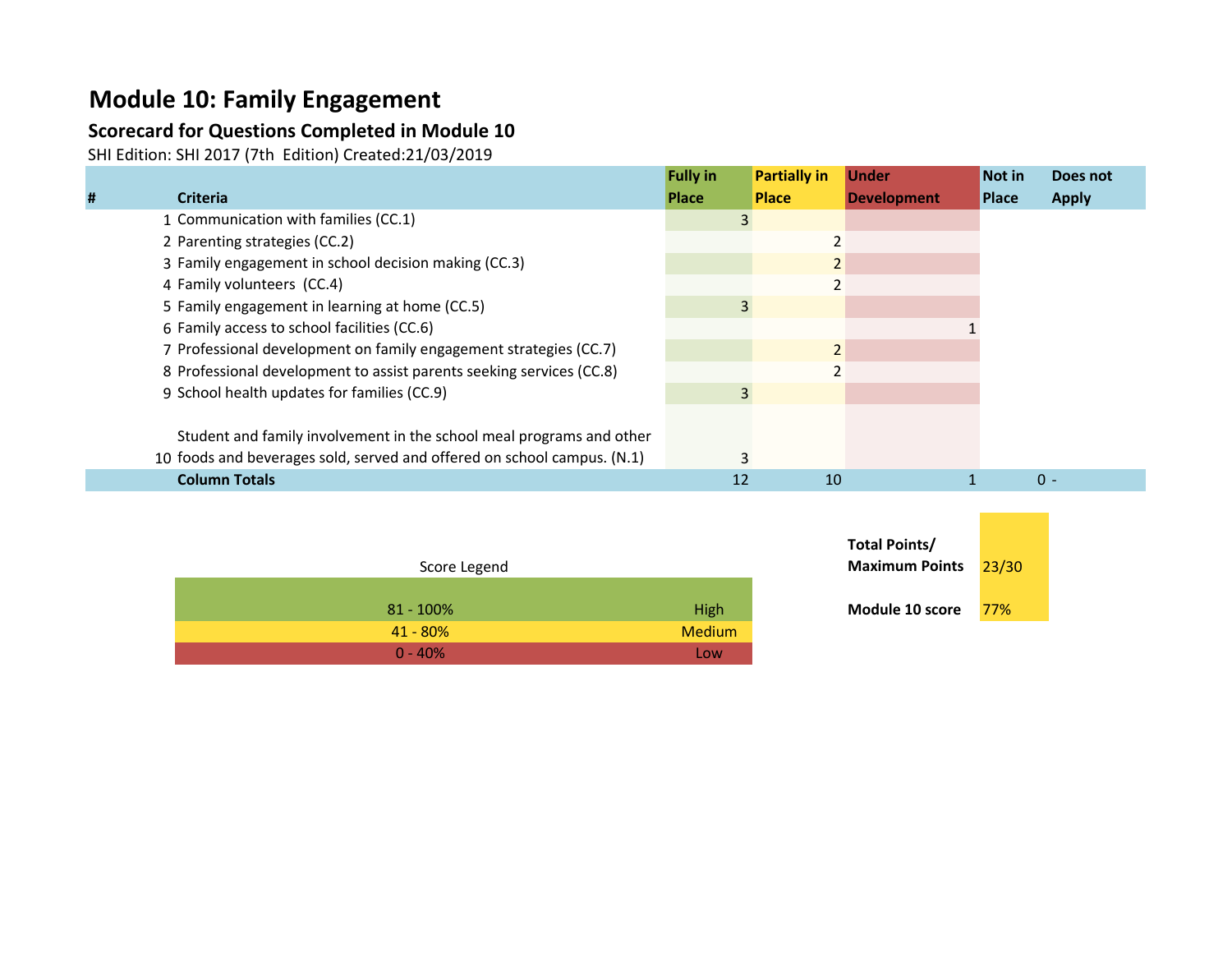# **Module 10: Family Engagement**

## **Scorecard for Questions Completed in Module 10**

SHI Edition: SHI 2017 (7th Edition) Created:21/03/2019

|   |                                                                         | <b>Fully in</b> | <b>Partially in</b> | <b>Under</b>       | Not in       | Does not     |
|---|-------------------------------------------------------------------------|-----------------|---------------------|--------------------|--------------|--------------|
| # | <b>Criteria</b>                                                         | <b>Place</b>    | <b>Place</b>        | <b>Development</b> | <b>Place</b> | <b>Apply</b> |
|   | 1 Communication with families (CC.1)                                    | 3               |                     |                    |              |              |
|   | 2 Parenting strategies (CC.2)                                           |                 |                     |                    |              |              |
|   | 3 Family engagement in school decision making (CC.3)                    |                 | 2                   |                    |              |              |
|   | 4 Family volunteers (CC.4)                                              |                 |                     |                    |              |              |
|   | 5 Family engagement in learning at home (CC.5)                          | 3               |                     |                    |              |              |
|   | 6 Family access to school facilities (CC.6)                             |                 |                     |                    |              |              |
|   | 7 Professional development on family engagement strategies (CC.7)       |                 |                     |                    |              |              |
|   | 8 Professional development to assist parents seeking services (CC.8)    |                 |                     |                    |              |              |
|   | 9 School health updates for families (CC.9)                             | 3               |                     |                    |              |              |
|   |                                                                         |                 |                     |                    |              |              |
|   | Student and family involvement in the school meal programs and other    |                 |                     |                    |              |              |
|   | 10 foods and beverages sold, served and offered on school campus. (N.1) |                 |                     |                    |              |              |
|   | <b>Column Totals</b>                                                    | 12              | 10                  |                    |              | $0 -$        |

| Score Legend | <b>Maximum Points</b>   | 23/3 |
|--------------|-------------------------|------|
| $81 - 100\%$ | Module 10 score<br>High | 77%  |
| $41 - 80\%$  | <b>Medium</b>           |      |
| $0 - 40%$    | Low                     |      |

| Total Points/<br><b>Maximum Points</b> | 23/30 |  |  |
|----------------------------------------|-------|--|--|
| Module 10 score                        | 77%   |  |  |